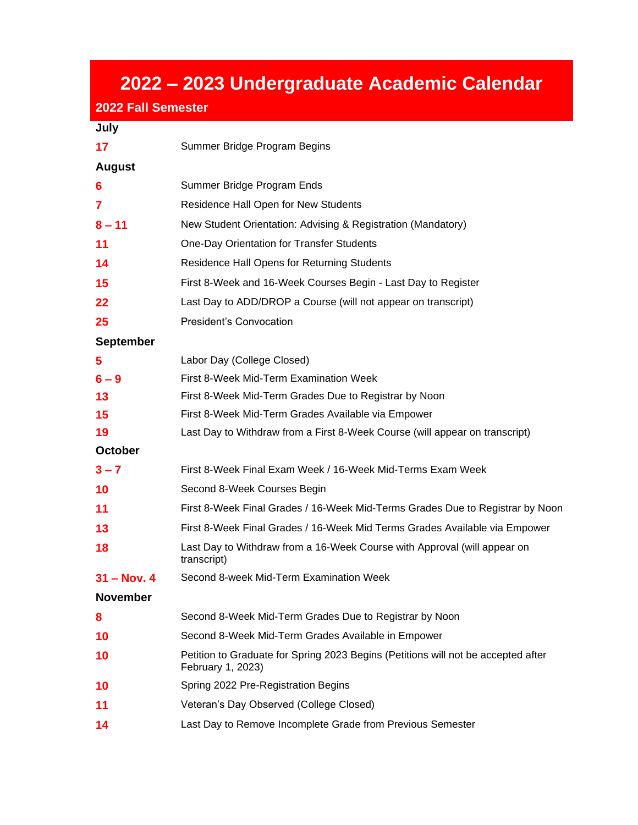# **– 2023 Undergraduate Academic Calendar**

#### **2022 Fall Semester**

### **July**

| 17          | Summer Bridge Program Begins                                                                           |
|-------------|--------------------------------------------------------------------------------------------------------|
| August      |                                                                                                        |
| 6           | Summer Bridge Program Ends                                                                             |
| 7           | Residence Hall Open for New Students                                                                   |
| $8 - 11$    | New Student Orientation: Advising & Registration (Mandatory)                                           |
| 11          | One-Day Orientation for Transfer Students                                                              |
| 14          | <b>Residence Hall Opens for Returning Students</b>                                                     |
| 15          | First 8-Week and 16-Week Courses Begin - Last Day to Register                                          |
| 22          | Last Day to ADD/DROP a Course (will not appear on transcript)                                          |
| 25          | President's Convocation                                                                                |
| September   |                                                                                                        |
| 5           | Labor Day (College Closed)                                                                             |
| $6 - 9$     | First 8-Week Mid-Term Examination Week                                                                 |
| 13          | First 8-Week Mid-Term Grades Due to Registrar by Noon                                                  |
| 15          | First 8-Week Mid-Term Grades Available via Empower                                                     |
| 19          | Last Day to Withdraw from a First 8-Week Course (will appear on transcript)                            |
| October     |                                                                                                        |
| $3 - 7$     | First 8-Week Final Exam Week / 16-Week Mid-Terms Exam Week                                             |
| 10          | Second 8-Week Courses Begin                                                                            |
| 11          | First 8-Week Final Grades / 16-Week Mid-Terms Grades Due to Registrar by Noon                          |
| 13          | First 8-Week Final Grades / 16-Week Mid Terms Grades Available via Empower                             |
| 18          | Last Day to Withdraw from a 16-Week Course with Approval (will appear on<br>transcript)                |
| 31 – Nov. 4 | Second 8-week Mid-Term Examination Week                                                                |
| November    |                                                                                                        |
| 8           | Second 8-Week Mid-Term Grades Due to Registrar by Noon                                                 |
| 10          | Second 8-Week Mid-Term Grades Available in Empower                                                     |
| 10          | Petition to Graduate for Spring 2023 Begins (Petitions will not be accepted after<br>February 1, 2023) |
| 10          | Spring 2022 Pre-Registration Begins                                                                    |
| 11          | Veteran's Day Observed (College Closed)                                                                |
| 14          | Last Day to Remove Incomplete Grade from Previous Semester                                             |
|             |                                                                                                        |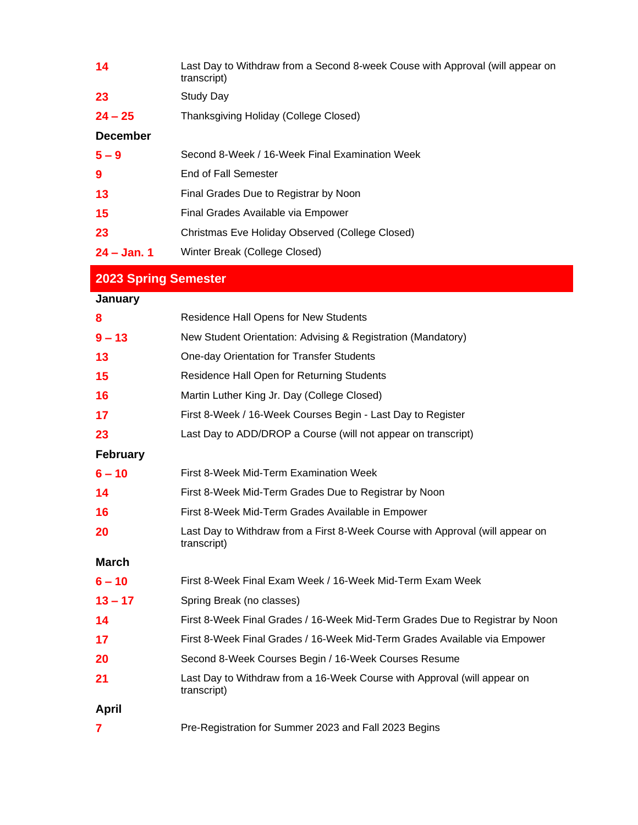| 14              | Last Day to Withdraw from a Second 8-week Couse with Approval (will appear on<br>transcript) |
|-----------------|----------------------------------------------------------------------------------------------|
| 23              | <b>Study Day</b>                                                                             |
| $24 - 25$       | Thanksgiving Holiday (College Closed)                                                        |
| <b>December</b> |                                                                                              |
| $5 - 9$         | Second 8-Week / 16-Week Final Examination Week                                               |
| 9               | End of Fall Semester                                                                         |
| 13              | Final Grades Due to Registrar by Noon                                                        |
| 15              | Final Grades Available via Empower                                                           |
| 23              | Christmas Eve Holiday Observed (College Closed)                                              |
| $24 - Jan. 1$   | Winter Break (College Closed)                                                                |
| ----            |                                                                                              |

## **2023 Spring Semester**

## **January**

| 8               | <b>Residence Hall Opens for New Students</b>                                                 |
|-----------------|----------------------------------------------------------------------------------------------|
| $9 - 13$        | New Student Orientation: Advising & Registration (Mandatory)                                 |
| 13              | One-day Orientation for Transfer Students                                                    |
| 15              | Residence Hall Open for Returning Students                                                   |
| 16              | Martin Luther King Jr. Day (College Closed)                                                  |
| 17              | First 8-Week / 16-Week Courses Begin - Last Day to Register                                  |
| 23              | Last Day to ADD/DROP a Course (will not appear on transcript)                                |
| <b>February</b> |                                                                                              |
| $6 - 10$        | First 8-Week Mid-Term Examination Week                                                       |
| 14              | First 8-Week Mid-Term Grades Due to Registrar by Noon                                        |
| 16              | First 8-Week Mid-Term Grades Available in Empower                                            |
| 20              | Last Day to Withdraw from a First 8-Week Course with Approval (will appear on<br>transcript) |
| <b>March</b>    |                                                                                              |
| $6 - 10$        | First 8-Week Final Exam Week / 16-Week Mid-Term Exam Week                                    |
| $13 - 17$       | Spring Break (no classes)                                                                    |
| 14              | First 8-Week Final Grades / 16-Week Mid-Term Grades Due to Registrar by Noon                 |
| 17              | First 8-Week Final Grades / 16-Week Mid-Term Grades Available via Empower                    |
| 20              | Second 8-Week Courses Begin / 16-Week Courses Resume                                         |
| 21              | Last Day to Withdraw from a 16-Week Course with Approval (will appear on<br>transcript)      |
| April           |                                                                                              |
| 7               | Pre-Registration for Summer 2023 and Fall 2023 Begins                                        |